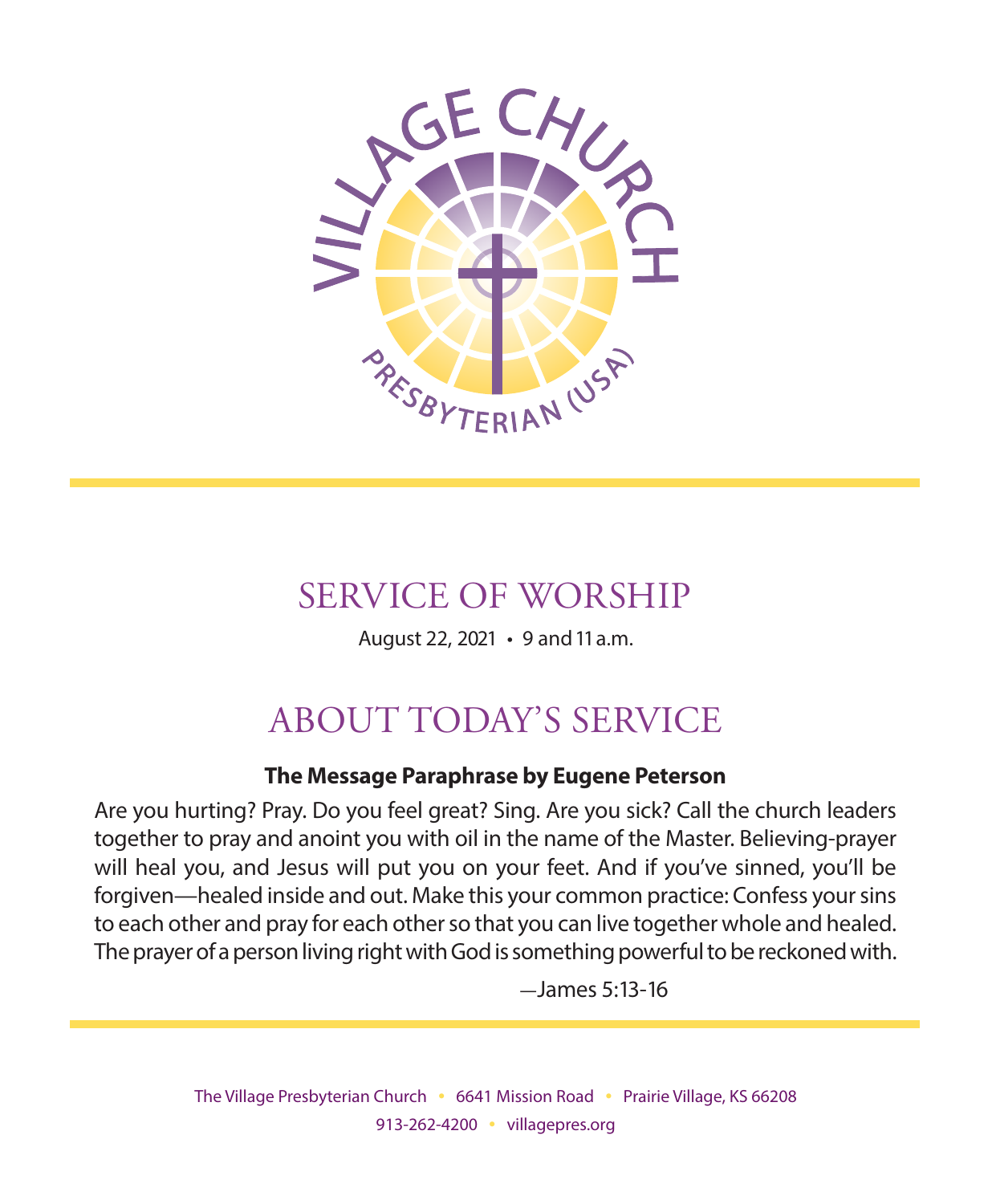

## SERVICE OF WORSHIP

August 22, 2021 • 9 and 11 a.m.

# ABOUT TODAY'S SERVICE

#### **The Message Paraphrase by Eugene Peterson**

Are you hurting? Pray. Do you feel great? Sing. Are you sick? Call the church leaders together to pray and anoint you with oil in the name of the Master. Believing-prayer will heal you, and Jesus will put you on your feet. And if you've sinned, you'll be forgiven—healed inside and out. Make this your common practice: Confess your sins to each other and pray for each other so that you can live together whole and healed. The prayer of a person living right with God is something powerful to be reckoned with.

 $-$ James 5:13-16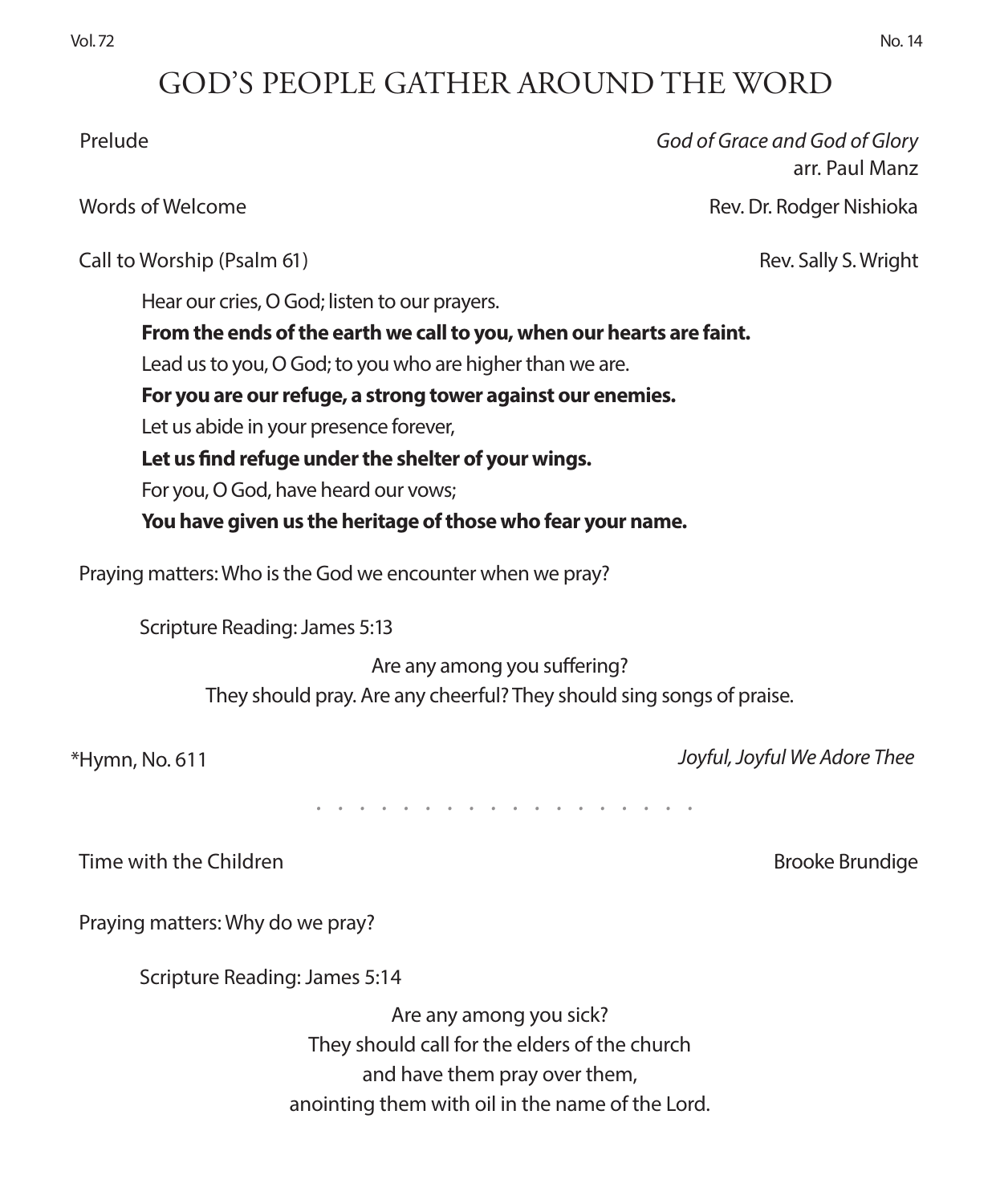## GOD'S PEOPLE GATHER AROUND THE WORD

 Prelude *God of Grace and God of Glory* arr. Paul Manz Words of Welcome **Rev. Dr. Rodger Nishioka** Call to Worship (Psalm 61) **Rev. Sally S. Wright** Call to Worship (Psalm 61) Hear our cries, O God; listen to our prayers. **From the ends of the earth we call to you, when our hearts are faint.** Lead us to you, O God; to you who are higher than we are. **For you are our refuge, a strong tower against our enemies.** Let us abide in your presence forever, **Let us find refuge under the shelter of your wings.** For you, O God, have heard our vows; **You have given us the heritage of those who fear your name.**  Praying matters: Who is the God we encounter when we pray? Scripture Reading: James 5:13

Are any among you suffering? They should pray. Are any cheerful? They should sing songs of praise.

\*Hymn, No. 611 *Joyful, Joyful We Adore Thee*

 *. . . . . . . . . . . . . . . . . .* 

Time with the Children Brooke Brundige Brooke Brundige

Praying matters: Why do we pray?

Scripture Reading: James 5:14

Are any among you sick? They should call for the elders of the church and have them pray over them, anointing them with oil in the name of the Lord.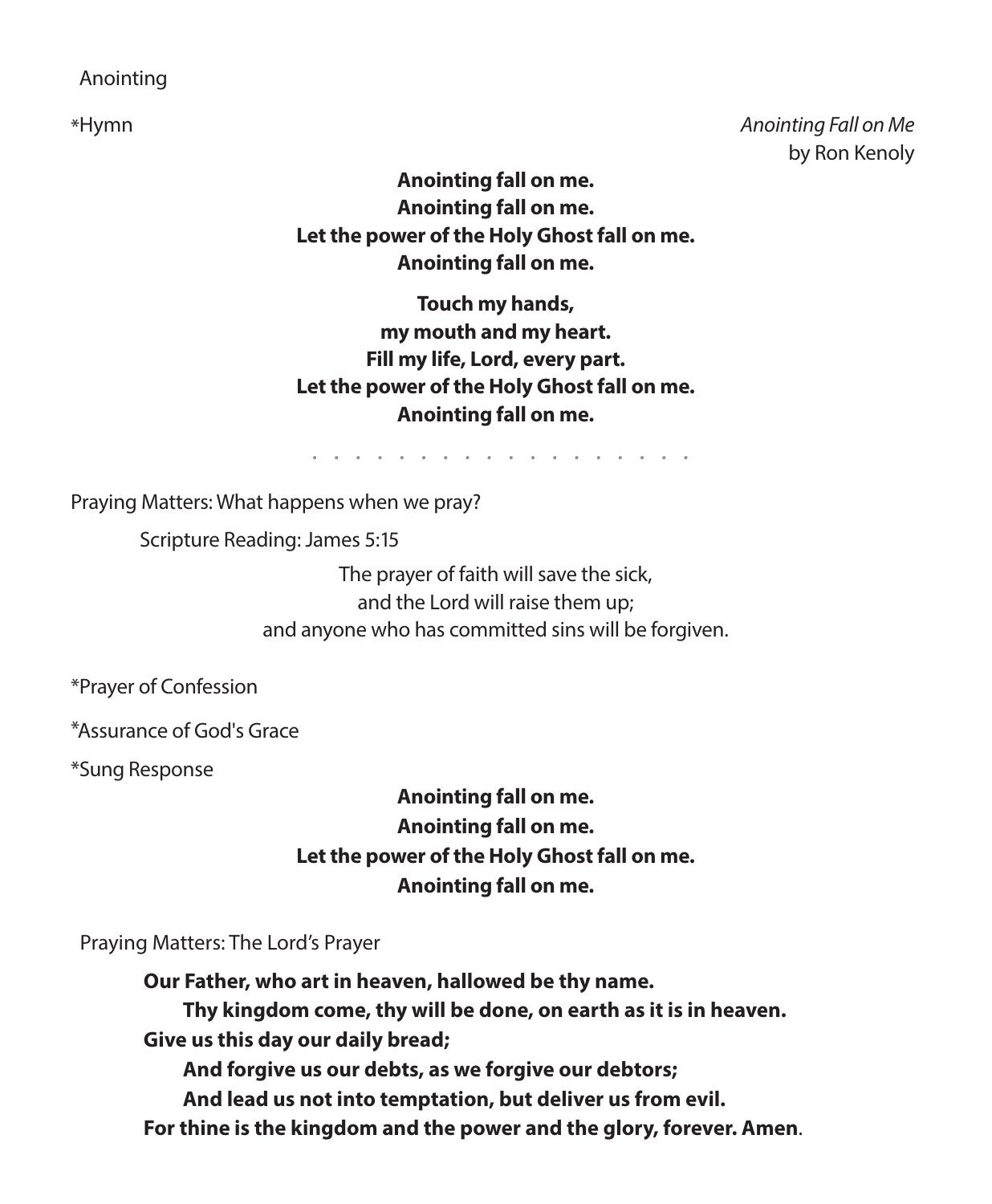#### Anointing

\*Hymn *Anointing Fall on Me* by Ron Kenoly

> **Anointing fall on me. Anointing fall on me. Let the power of the Holy Ghost fall on me. Anointing fall on me.**

> **Touch my hands, my mouth and my heart. Fill my life, Lord, every part. Let the power of the Holy Ghost fall on me. Anointing fall on me.**

> > *. . . . . . . . . . . . . . . . . .*

Praying Matters: What happens when we pray?

Scripture Reading: James 5:15

The prayer of faith will save the sick, and the Lord will raise them up; and anyone who has committed sins will be forgiven.

\*Prayer of Confession

\*Assurance of God's Grace

\*Sung Response

**Anointing fall on me. Anointing fall on me. Let the power of the Holy Ghost fall on me. Anointing fall on me.**

Praying Matters: The Lord's Prayer

**Our Father, who art in heaven, hallowed be thy name. Thy kingdom come, thy will be done, on earth as it is in heaven. Give us this day our daily bread; And forgive us our debts, as we forgive our debtors; And lead us not into temptation, but deliver us from evil. For thine is the kingdom and the power and the glory, forever. Amen**.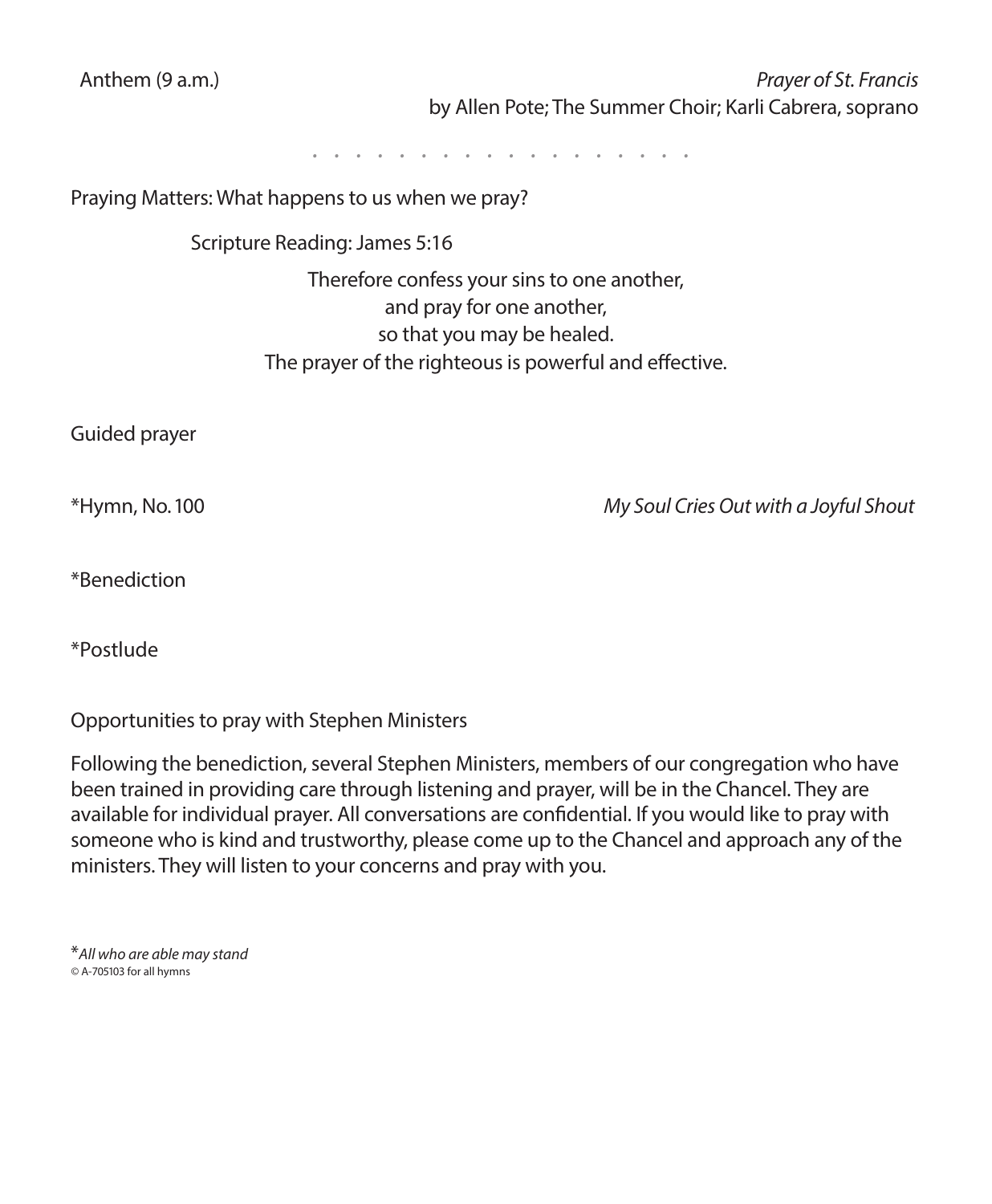| Anthem (9 a.m.)                                   | Prayer of St. Francis                                   |
|---------------------------------------------------|---------------------------------------------------------|
|                                                   | by Allen Pote; The Summer Choir; Karli Cabrera, soprano |
|                                                   | .                                                       |
| Praying Matters: What happens to us when we pray? |                                                         |
| Scripture Reading: James 5:16                     |                                                         |
|                                                   | Therefore confess your sins to one another,             |
|                                                   | and pray for one another,                               |
|                                                   | so that you may be healed.                              |
|                                                   | The prayer of the righteous is powerful and effective.  |
| Guided prayer                                     |                                                         |
| *Hymn, No. 100                                    | My Soul Cries Out with a Joyful Shout                   |
| *Benediction                                      |                                                         |
| *Postlude                                         |                                                         |

Opportunities to pray with Stephen Ministers

Following the benediction, several Stephen Ministers, members of our congregation who have been trained in providing care through listening and prayer, will be in the Chancel. They are available for individual prayer. All conversations are confidential. If you would like to pray with someone who is kind and trustworthy, please come up to the Chancel and approach any of the ministers. They will listen to your concerns and pray with you.

\**All who are able may stand ©* A-705103 for all hymns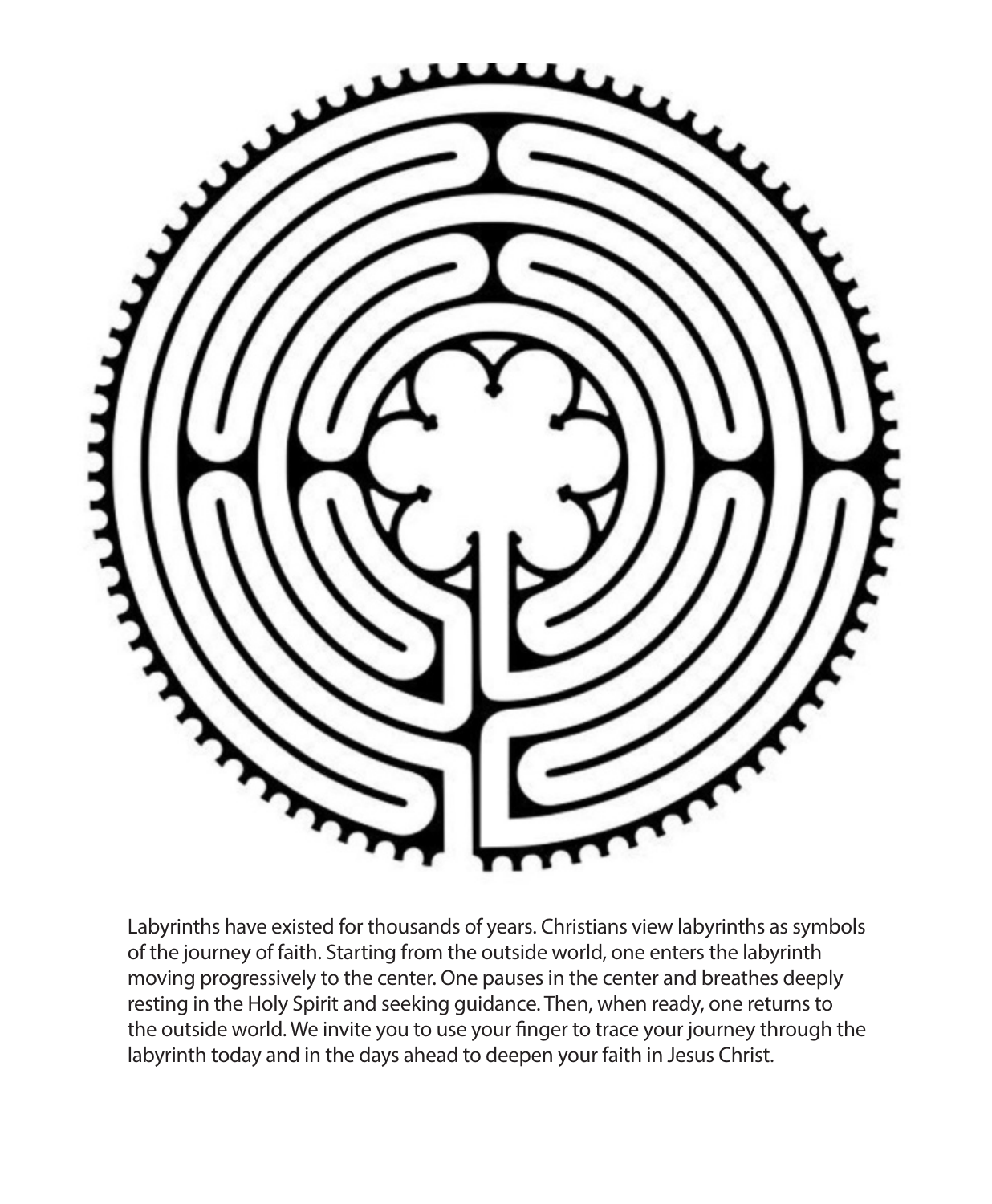

Labyrinths have existed for thousands of years. Christians view labyrinths as symbols of the journey of faith. Starting from the outside world, one enters the labyrinth moving progressively to the center. One pauses in the center and breathes deeply resting in the Holy Spirit and seeking guidance. Then, when ready, one returns to the outside world. We invite you to use your finger to trace your journey through the labyrinth today and in the days ahead to deepen your faith in Jesus Christ.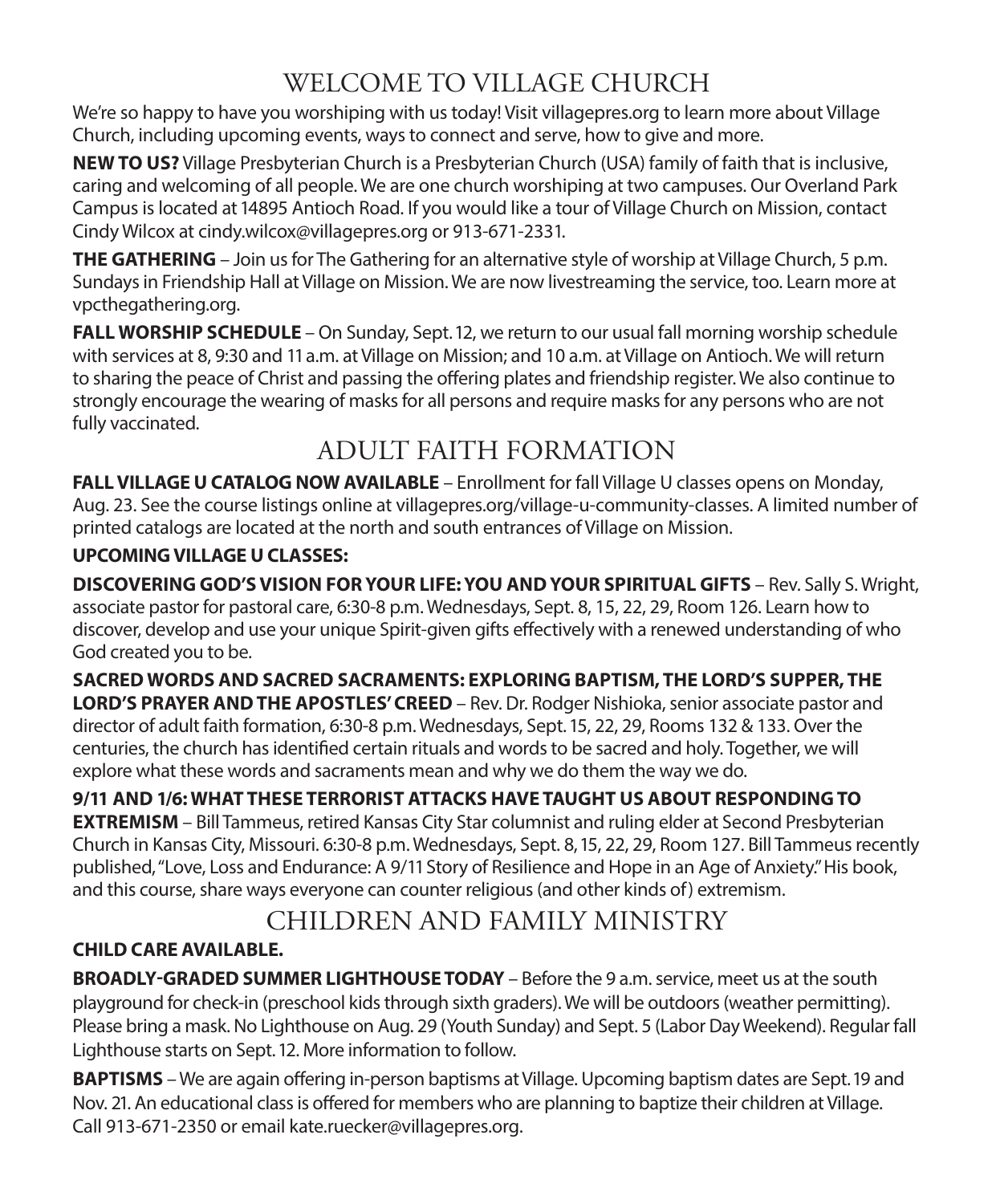## WELCOME TO VILLAGE CHURCH

We're so happy to have you worshiping with us today! Visit villagepres.org to learn more about Village Church, including upcoming events, ways to connect and serve, how to give and more.

**NEW TO US?** Village Presbyterian Church is a Presbyterian Church (USA) family of faith that is inclusive, caring and welcoming of all people. We are one church worshiping at two campuses. Our Overland Park Campus is located at 14895 Antioch Road. If you would like a tour of Village Church on Mission, contact Cindy Wilcox at cindy.wilcox@villagepres.org or 913-671-2331.

**THE GATHERING** – Join us for The Gathering for an alternative style of worship at Village Church, 5 p.m. Sundays in Friendship Hall at Village on Mission. We are now livestreaming the service, too. Learn more at vpcthegathering.org.

**FALL WORSHIP SCHEDULE** – On Sunday, Sept. 12, we return to our usual fall morning worship schedule with services at 8, 9:30 and 11 a.m. at Village on Mission; and 10 a.m. at Village on Antioch. We will return to sharing the peace of Christ and passing the offering plates and friendship register. We also continue to strongly encourage the wearing of masks for all persons and require masks for any persons who are not fully vaccinated.

## ADULT FAITH FORMATION

**FALL VILLAGE U CATALOG NOW AVAILABLE** – Enrollment for fall Village U classes opens on Monday, Aug. 23. See the course listings online at villagepres.org/village-u-community-classes. A limited number of printed catalogs are located at the north and south entrances of Village on Mission.

#### **UPCOMING VILLAGE U CLASSES:**

**DISCOVERING GOD'S VISION FOR YOUR LIFE: YOU AND YOUR SPIRITUAL GIFTS** – Rev. Sally S. Wright, associate pastor for pastoral care, 6:30-8 p.m. Wednesdays, Sept. 8, 15, 22, 29, Room 126. Learn how to discover, develop and use your unique Spirit-given gifts effectively with a renewed understanding of who God created you to be.

**SACRED WORDS AND SACRED SACRAMENTS: EXPLORING BAPTISM, THE LORD'S SUPPER, THE LORD'S PRAYER AND THE APOSTLES' CREED** – Rev. Dr. Rodger Nishioka, senior associate pastor and director of adult faith formation, 6:30-8 p.m. Wednesdays, Sept. 15, 22, 29, Rooms 132 & 133. Over the centuries, the church has identified certain rituals and words to be sacred and holy. Together, we will explore what these words and sacraments mean and why we do them the way we do.

**9/11 AND 1/6: WHAT THESE TERRORIST ATTACKS HAVE TAUGHT US ABOUT RESPONDING TO EXTREMISM** – Bill Tammeus, retired Kansas City Star columnist and ruling elder at Second Presbyterian Church in Kansas City, Missouri. 6:30-8 p.m. Wednesdays, Sept. 8, 15, 22, 29, Room 127. Bill Tammeus recently published, "Love, Loss and Endurance: A 9/11 Story of Resilience and Hope in an Age of Anxiety." His book, and this course, share ways everyone can counter religious (and other kinds of) extremism.

## CHILDREN AND FAMILY MINISTRY

#### **CHILD CARE AVAILABLE.**

**BROADLY-GRADED SUMMER LIGHTHOUSE TODAY** – Before the 9 a.m. service, meet us at the south playground for check-in (preschool kids through sixth graders). We will be outdoors (weather permitting). Please bring a mask. No Lighthouse on Aug. 29 (Youth Sunday) and Sept. 5 (Labor Day Weekend). Regular fall Lighthouse starts on Sept. 12. More information to follow.

**BAPTISMS** – We are again offering in-person baptisms at Village. Upcoming baptism dates are Sept. 19 and Nov. 21. An educational class is offered for members who are planning to baptize their children at Village. Call 913-671-2350 or email kate.ruecker@villagepres.org.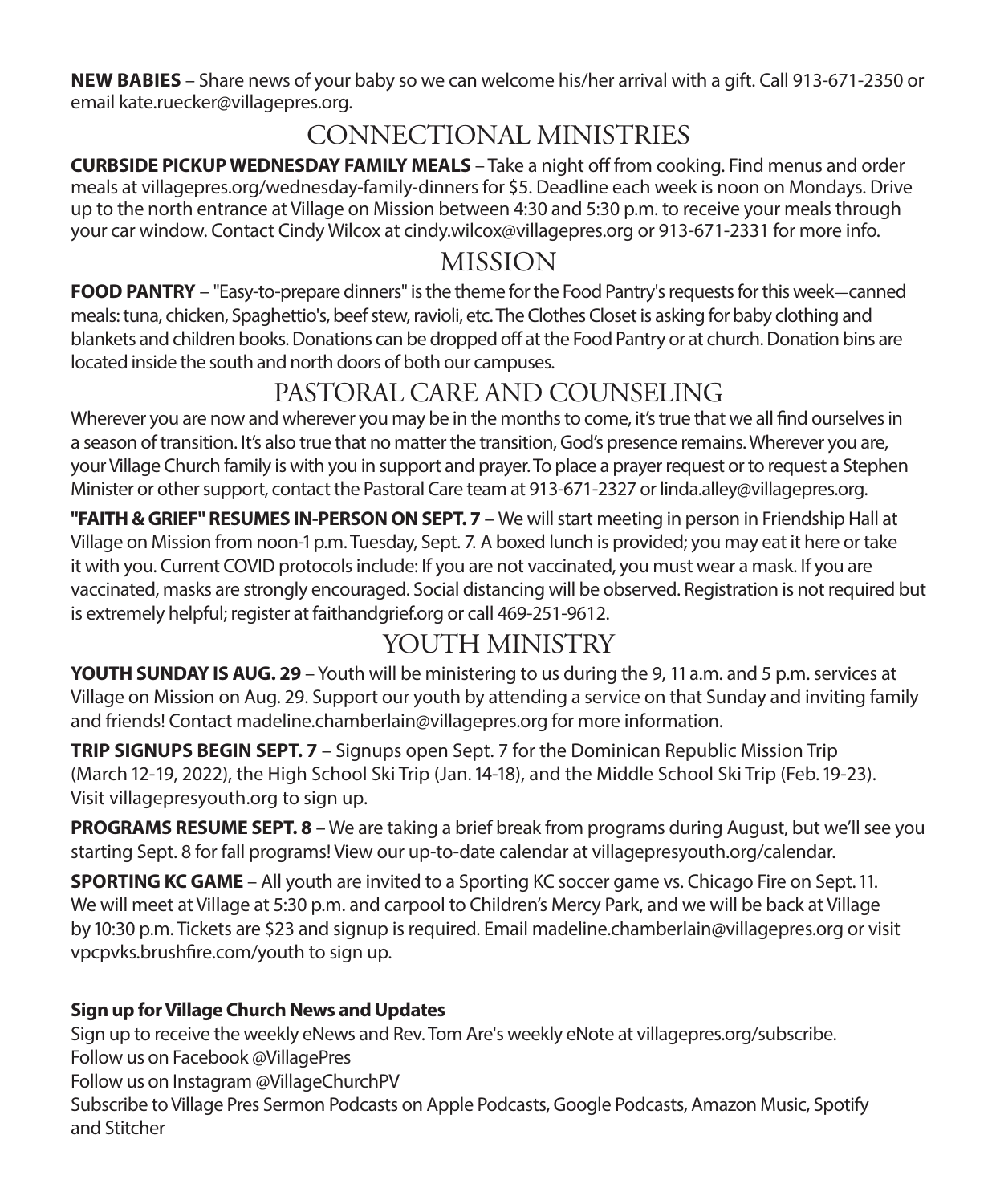**NEW BABIES** – Share news of your baby so we can welcome his/her arrival with a gift. Call 913-671-2350 or email kate.ruecker@villagepres.org.

## CONNECTIONAL MINISTRIES

**CURBSIDE PICKUP WEDNESDAY FAMILY MEALS** – Take a night off from cooking. Find menus and order meals at villagepres.org/wednesday-family-dinners for \$5. Deadline each week is noon on Mondays. Drive up to the north entrance at Village on Mission between 4:30 and 5:30 p.m. to receive your meals through your car window. Contact Cindy Wilcox at cindy.wilcox@villagepres.org or 913-671-2331 for more info.

### MISSION

**FOOD PANTRY** – "Easy-to-prepare dinners" is the theme for the Food Pantry's requests for this week-canned meals: tuna, chicken, Spaghettio's, beef stew, ravioli, etc. The Clothes Closet is asking for baby clothing and blankets and children books. Donations can be dropped off at the Food Pantry or at church. Donation bins are located inside the south and north doors of both our campuses.

## PASTORAL CARE AND COUNSELING

Wherever you are now and wherever you may be in the months to come, it's true that we all find ourselves in a season of transition. It's also true that no matter the transition, God's presence remains. Wherever you are, your Village Church family is with you in support and prayer. To place a prayer request or to request a Stephen Minister or other support, contact the Pastoral Care team at 913-671-2327 or linda.alley@villagepres.org.

**"FAITH & GRIEF" RESUMES IN-PERSON ON SEPT. 7** – We will start meeting in person in Friendship Hall at Village on Mission from noon-1 p.m. Tuesday, Sept. 7. A boxed lunch is provided; you may eat it here or take it with you. Current COVID protocols include: If you are not vaccinated, you must wear a mask. If you are vaccinated, masks are strongly encouraged. Social distancing will be observed. Registration is not required but is extremely helpful; register at faithandgrief.org or call 469-251-9612.

## YOUTH MINISTRY

**YOUTH SUNDAY IS AUG. 29** – Youth will be ministering to us during the 9, 11 a.m. and 5 p.m. services at Village on Mission on Aug. 29. Support our youth by attending a service on that Sunday and inviting family and friends! Contact madeline.chamberlain@villagepres.org for more information.

**TRIP SIGNUPS BEGIN SEPT. 7** – Signups open Sept. 7 for the Dominican Republic Mission Trip (March 12-19, 2022), the High School Ski Trip (Jan. 14-18), and the Middle School Ski Trip (Feb. 19-23). Visit villagepresyouth.org to sign up.

**PROGRAMS RESUME SEPT. 8** – We are taking a brief break from programs during August, but we'll see you starting Sept. 8 for fall programs! View our up-to-date calendar at villagepresyouth.org/calendar.

**SPORTING KC GAME** – All youth are invited to a Sporting KC soccer game vs. Chicago Fire on Sept. 11. We will meet at Village at 5:30 p.m. and carpool to Children's Mercy Park, and we will be back at Village by 10:30 p.m. Tickets are \$23 and signup is required. Email madeline.chamberlain@villagepres.org or visit vpcpvks.brushfire.com/youth to sign up.

#### **Sign up for Village Church News and Updates**

Sign up to receive the weekly eNews and Rev. Tom Are's weekly eNote at villagepres.org/subscribe. Follow us on Facebook @VillagePres Follow us on Instagram @VillageChurchPV Subscribe to Village Pres Sermon Podcasts on Apple Podcasts, Google Podcasts, Amazon Music, Spotify and Stitcher